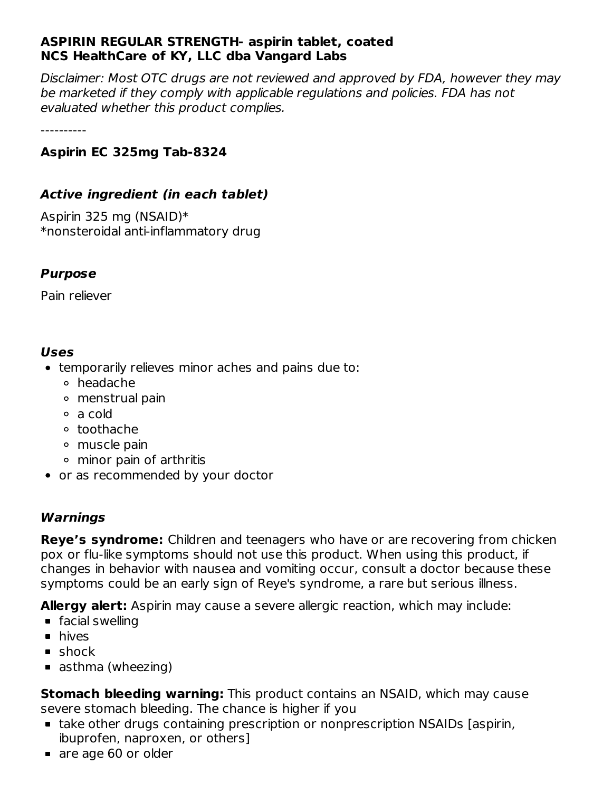#### **ASPIRIN REGULAR STRENGTH- aspirin tablet, coated NCS HealthCare of KY, LLC dba Vangard Labs**

Disclaimer: Most OTC drugs are not reviewed and approved by FDA, however they may be marketed if they comply with applicable regulations and policies. FDA has not evaluated whether this product complies.

----------

#### **Aspirin EC 325mg Tab-8324**

#### **Active ingredient (in each tablet)**

Aspirin 325 mg (NSAID)\* \*nonsteroidal anti-inflammatory drug

#### **Purpose**

Pain reliever

#### **Uses**

- temporarily relieves minor aches and pains due to:
	- headache
	- menstrual pain
	- a cold
	- toothache
	- muscle pain
	- minor pain of arthritis
- or as recommended by your doctor

#### **Warnings**

**Reye's syndrome:** Children and teenagers who have or are recovering from chicken pox or flu-like symptoms should not use this product. When using this product, if changes in behavior with nausea and vomiting occur, consult a doctor because these symptoms could be an early sign of Reye's syndrome, a rare but serious illness.

**Allergy alert:** Aspirin may cause a severe allergic reaction, which may include:

- **facial swelling**
- **n** hives
- **shock**
- asthma (wheezing)

**Stomach bleeding warning:** This product contains an NSAID, which may cause severe stomach bleeding. The chance is higher if you

- take other drugs containing prescription or nonprescription NSAIDs [aspirin, ibuprofen, naproxen, or others]
- are age 60 or older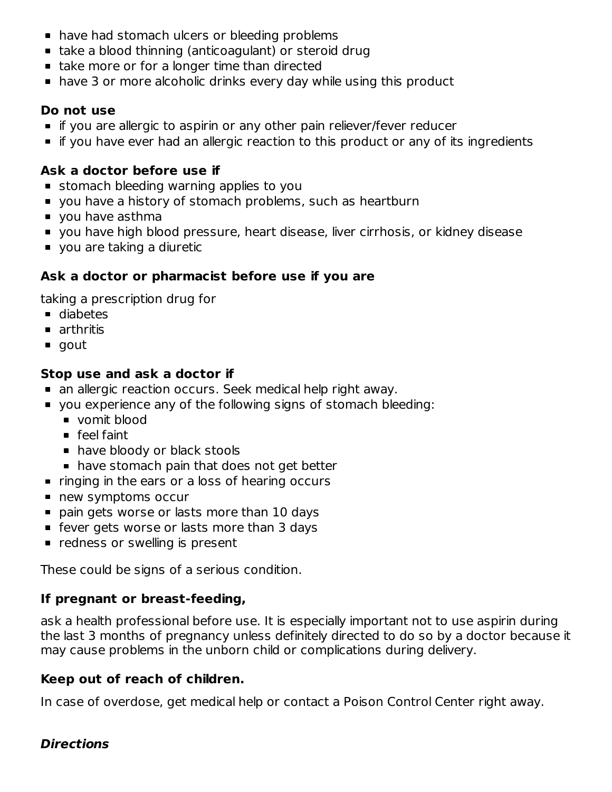- have had stomach ulcers or bleeding problems
- take a blood thinning (anticoagulant) or steroid drug
- take more or for a longer time than directed
- have 3 or more alcoholic drinks every day while using this product

#### **Do not use**

- **If you are allergic to aspirin or any other pain reliever/fever reducer**
- **If you have ever had an allergic reaction to this product or any of its ingredients**

## **Ask a doctor before use if**

- stomach bleeding warning applies to you
- **v** you have a history of stomach problems, such as heartburn
- vou have asthma
- you have high blood pressure, heart disease, liver cirrhosis, or kidney disease
- you are taking a diuretic

## **Ask a doctor or pharmacist before use if you are**

taking a prescription drug for

- diabetes
- **n** arthritis
- gout

## **Stop use and ask a doctor if**

- an allergic reaction occurs. Seek medical help right away.
- you experience any of the following signs of stomach bleeding:
	- vomit blood
	- **feel faint**
	- have bloody or black stools
	- **have stomach pain that does not get better**
- $\blacksquare$  ringing in the ears or a loss of hearing occurs
- new symptoms occur
- pain gets worse or lasts more than 10 days
- **Figure 1** fever gets worse or lasts more than 3 days
- **•** redness or swelling is present

These could be signs of a serious condition.

## **If pregnant or breast-feeding,**

ask a health professional before use. It is especially important not to use aspirin during the last 3 months of pregnancy unless definitely directed to do so by a doctor because it may cause problems in the unborn child or complications during delivery.

#### **Keep out of reach of children.**

In case of overdose, get medical help or contact a Poison Control Center right away.

## **Directions**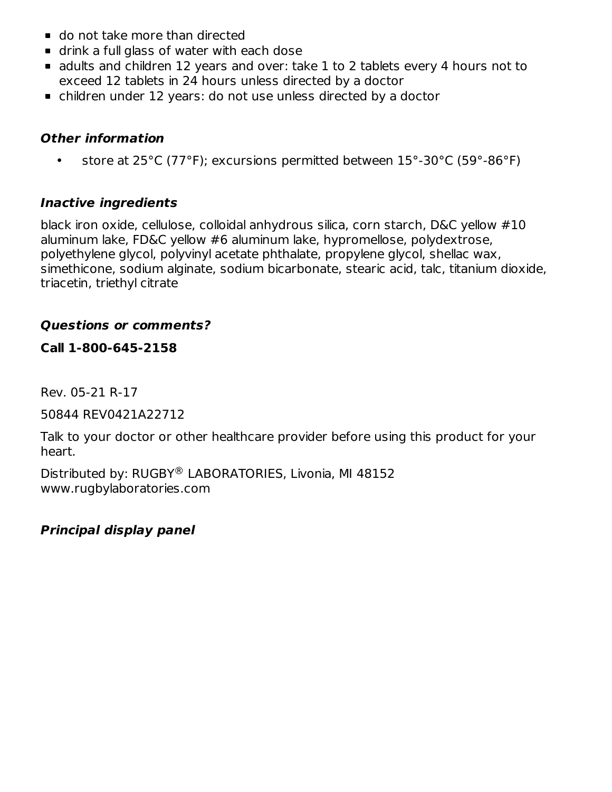- do not take more than directed
- drink a full glass of water with each dose
- adults and children 12 years and over: take 1 to 2 tablets every 4 hours not to exceed 12 tablets in 24 hours unless directed by a doctor
- children under 12 years: do not use unless directed by a doctor

#### **Other information**

• store at 25°C (77°F); excursions permitted between 15°-30°C (59°-86°F)

## **Inactive ingredients**

black iron oxide, cellulose, colloidal anhydrous silica, corn starch, D&C yellow #10 aluminum lake, FD&C yellow #6 aluminum lake, hypromellose, polydextrose, polyethylene glycol, polyvinyl acetate phthalate, propylene glycol, shellac wax, simethicone, sodium alginate, sodium bicarbonate, stearic acid, talc, titanium dioxide, triacetin, triethyl citrate

## **Questions or comments?**

## **Call 1-800-645-2158**

Rev. 05-21 R-17

50844 REV0421A22712

Talk to your doctor or other healthcare provider before using this product for your heart.

Distributed by: RUGBY® LABORATORIES, Livonia, MI 48152 www.rugbylaboratories.com

## **Principal display panel**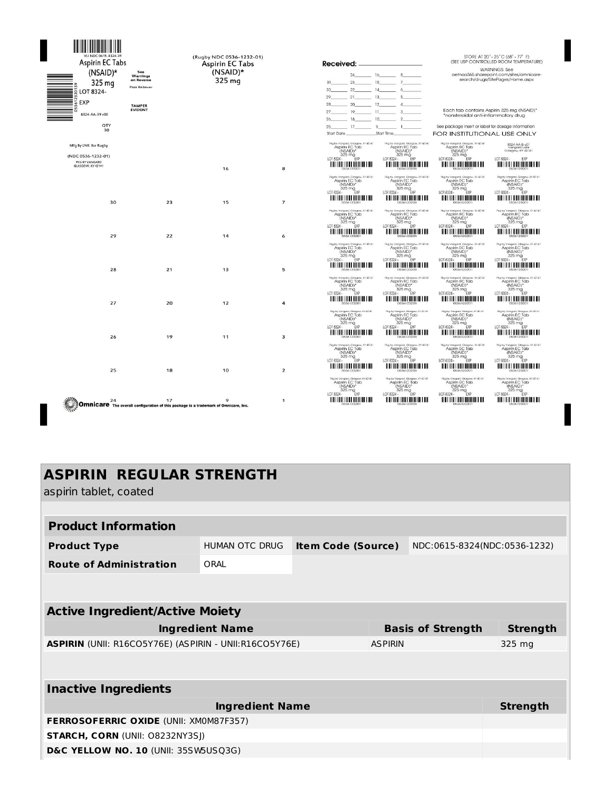| Aspirin EC Tabs<br>$(NSAID)*$<br>325 mg<br>$S$ LOT 8324-<br>EXP<br>8324-AA-39 v00<br>QTY<br>30 | See<br>Warnings<br>on Reverse<br>Pain Reliever<br><b>TAMPER</b><br><b>EVIDENT</b> | (Rugby NDC 0536-1232-01)<br>Aspirin EC Tabs<br>$(NSAID)*$<br>325 mg                      |                     | Received: .<br>$16$ $8$<br>$24 -$<br>23<br>15<br>31<br>14<br>30<br>22<br>6<br>21<br>13<br>29<br>28<br>$-20$<br>12<br>4<br>$-$ 11 $-$<br>$27 -$<br>19<br>$\mathbf{3}$<br>$-10$<br>18<br>26<br>17<br>9<br>25<br>Start Time<br>Start Date                                                                                                           | STORE AT 20° - 25°C (68° - 77° F)<br>(SEE USP CONTROLLED ROOM TEMPERATURE)<br><b>WARNINGS: See</b><br>aetnao365.sharepoint.com/sites/omnicare-<br>search/drugs/SitePages/Home.aspx<br>Each tab contains Aspirin 325 mg (NSAID)*<br>*nonsteroidal anti-inflammatory drug<br>See package insert or label for dosage information<br><b>FOR INSTITUTIONAL USE ONLY</b> |
|------------------------------------------------------------------------------------------------|-----------------------------------------------------------------------------------|------------------------------------------------------------------------------------------|---------------------|--------------------------------------------------------------------------------------------------------------------------------------------------------------------------------------------------------------------------------------------------------------------------------------------------------------------------------------------------|--------------------------------------------------------------------------------------------------------------------------------------------------------------------------------------------------------------------------------------------------------------------------------------------------------------------------------------------------------------------|
| Mfg By LNK for Rugby<br>(NDC 0536-1232-01)<br>PKG BY VANGARD<br>GLASGOW, KY 42141              |                                                                                   |                                                                                          |                     | Pkg by Vangord, Glosgow, KY 42141<br>Pkg by Vongord, Glosgow, KY 42141<br>Aspirin EC Tab<br>Aspirin EC Tab<br>(NSAID)*<br>(NSAID)*<br>325 mg<br>4- EXP<br>325 mg<br>4- EXP<br>LOT 8324 -<br>LOT 8324 -                                                                                                                                           | Pkg by Vongord, Glosgow, KY 42141<br>8324-AA-B-v01<br>Aspirin EC Tab<br>Vangard Labs<br>Glasgow, KY 42141<br>(NSAID)*<br>325 mg<br><sub>4</sub> . EXP<br>LOT 8324 -<br>LOT 8324 -<br><b>EYP</b><br><u> A BILITAN A BILITAN DE LA BIL</u><br><u> HIII III III III III III III II</u>                                                                                |
| 30                                                                                             | 23                                                                                | 16<br>15                                                                                 | 8<br>$\overline{7}$ | Pkg by Vangord, Glosgow, KY 42141<br>Pkg by Vangard, Glasgow, KY 42141<br>Aspirin EC Tab<br>Aspirin EC Tab<br>(NSAID)*<br>325 mg<br>4- EXP<br>325 mg<br>LOT 8324 -<br>LOT 8324 -<br><b>FXF</b><br><u> Ali ali ali ali ali ali ali ali ali </u><br><u> HELLINI I HELLINI I HI</u>                                                                 | Rig by Vangard, Glasgow, KY 42141<br>Pkg by Vangard, Glasgow, KY 42141<br>Aspirin EC Tab<br>Aspirin EC Tab<br>(NSAID)*<br>(NSAID)*<br>NSA <sub>IL</sub><br>325 mg<br>EXP<br>325 mg<br>4 - EXP<br>LOT 8324 -<br>LOT 8324-<br>II II II II II II III III II III<br><u> HOLLIN IN HOLLIN I DI</u>                                                                      |
| 29                                                                                             | 22                                                                                | 14                                                                                       | 6                   | Pkg by Vangord, Glosgow, KY 4214<br>Pkg by Vangard, Glasgow, KY 42141<br>Aspirin EC Tab<br>Aspirin EC Tab<br>(NSAID)*<br>(NSAID)*<br>NSA <sub>ID</sub><br>325 mg<br>EXP<br>325 mg<br>LOT 8324 -<br>LOT 8324 -<br>FXP<br><u> Ali ali ali ali ali ali ali ali ali ali </u><br>A BILININ IN DI HANDI DI BILI                                        | Pkg by Vangard, Glasgow, KY 42141<br>Pkg by Vangard, Glasgow, KY 42141<br>Aspirin EC Tab<br>Aspirin EC Tab<br>(NSAID)*<br>(NSAID)*<br>325 mg<br>NSA <sub>N</sub><br>325 mg<br>EXP<br>LOT 8324 -<br>LOT 8324 -<br><b>FXP</b><br><u> HELLINI ILI HELLINI ILI</u><br><u> A BILITARIA DE LA BILITAR DE LA BILI</u>                                                     |
| 28                                                                                             | 21                                                                                | 13                                                                                       | 5                   | Pkg by Vangord, Glosgow, KY 42141<br>Pkg by Vangord, Glosgow, KY 42141<br>Aspirin EC Tab<br>Aspirin EC Tab<br>(NSAID)*<br>(NSAID)*<br>325 mg<br>325 mg<br>LOT 8324 -<br>EXP<br>LOT 8324 -<br>EXP<br><u> A BITANI A METALIKI ILI BI</u>                                                                                                           | Pkg by Vongord, Glosgow, KY 42141<br>Pkg by Vongord, Glasgow, KY 42141<br>Aspirin EC Tab<br>Aspirin EC Tab<br>(NSAID)*<br>(NSAID)*<br>325 mg<br>325 mg<br>LOT 8324 -<br>EXP<br>LOT 8324 -<br>EXP<br><u> HOLLIN I HOLLIN I HA</u><br><u> HOLL HELL HELL HELL</u>                                                                                                    |
| 27                                                                                             | 20                                                                                | 12                                                                                       | $\overline{\bf 4}$  | Pkg by Vangord, Glosgow, KY 4214<br>Pkg by Vangard, Glasgow, KY 42141<br>Aspirin EC Tab<br>Aspirin EC Tab<br>(NSAID)*<br>(NSAID)*<br>325 mg<br>4- EXP<br>NSA <sub>IL</sub><br>325 mg<br>EXP<br>LOT 8324 -<br>LOT 8324 -<br><u> A BIT A BIT A BIT A BIT A BIT A BIT A BIT A BIT A BIT A BIT A BIT A BIT A BIT A BIT A BIT A BIT A BIT A BIT A</u> | Pkg by Vongord, Glosgow, KY 42141<br>Pkg by Vangerd. Glasgow. KY 42141<br>Aspirin EC Tab<br>Aspirin EC Tab<br>(NSAID)*<br>(NSAID)*<br>325 mg<br>4- EXP<br>325 mg<br>LOT 8324 - EXP<br>LOT 8324 -<br><u> A BELLIA LIBERTI DE LA BIL</u>                                                                                                                             |
| 26                                                                                             | 19                                                                                | 11                                                                                       | 3                   | Pleg by Vangard, Glasgow, KY 42141<br>Pkg by Vongord, Glasgow, KY 42141<br>Aspirin EC Tab<br>Aspirin EC Tab<br>(NSAID)*<br>NSAIL,<br>325 mg<br>EXP<br>325 mg<br>LOT 8324 -<br>LOT 8324 -<br><b>FXP</b>                                                                                                                                           | Rigiby Vangard, Glasgow, KY 42141<br>Pleg by Vangard, Glasgow, KY 42141<br>Aspirin EC Tab<br>Aspirin EC Tab<br>(NSAID)*<br>(NSAID)*<br>325 mg<br>4- EXP<br>325 mg<br>4- EXP<br>LOT 8324 -<br>LOT 8324 -<br><b>HEILINI HEILINI HEIL</b><br><u> 11   11   11   11   11   11   11</u>                                                                                 |
| 25                                                                                             | 18                                                                                | 10                                                                                       | $\overline{2}$      | Pkg by Vangard, Glasgow, KY 42141<br>Pkg by Vangard, Glasgow, KY 42141<br>Aspirin EC Tab<br>Aspirin EC Tab<br>(NSAID)*<br>(NSAID)'<br>325 mg<br>1-<br>325 mg<br>4-<br>LOT 8324 -<br>LOT 8324 -                                                                                                                                                   | Pkg by Vangard, Glasgow, KY 42141<br>Pkg by Vangerd, Glasgow, KY 42141<br>Aspirin EC Tab<br>Aspirin EC Tab<br>(NSAID)*<br>(NSAID)'<br>$325 \text{ mg}$<br>$325 \text{ mg}$<br>4- $\text{FXP}$<br>LOT 8324 -<br>LOT 8324 -<br><u> A BITTINI A MITOLIAN DI AN</u><br><b><i>HOLLARD HOLLARD H</i></b>                                                                 |
| 24                                                                                             | 17                                                                                | 9<br>Omnicare The overall configuration of this package is a trademark of Omnicare, Inc. | $\mathbf{1}$        | Pkg by Vangord, Glosgow, KY 42141<br>Pkg by Vongord, Glasgow, KY 42141<br>Aspirin EC Tab<br>Aspirin EC Tab<br>(NSAID)'<br>(NSAID)'<br>325 mg<br>4- EXP<br>325 mg<br>4- EXP<br>LOT 8324 -<br>LOT 8324 -<br><u> HELLINI I HELLINI I HI</u>                                                                                                         | Rig by Vangard, Glasgow, KY 42141<br>Plea by Vangard, Glasgow, KY 42141<br>Aspirin EC Tab<br>Aspirin EC Tab<br>(NSAID)*<br>(NSAID)*<br>325 mg<br>4- EXP<br>325 mg<br>4- EXP<br>LOT 8324 -<br>LOT 8324 -<br><u> HELLIN I HELLIN I HEL</u><br><u> A BITANI A MILITARI A BI</u>                                                                                       |

I

# **ASPIRIN REGULAR STRENGTH**

aspirin tablet, coated

| <b>Product Information</b>                                               |                                      |                           |  |        |                              |  |  |
|--------------------------------------------------------------------------|--------------------------------------|---------------------------|--|--------|------------------------------|--|--|
| <b>Product Type</b>                                                      | <b>HUMAN OTC DRUG</b>                | <b>Item Code (Source)</b> |  |        | NDC:0615-8324(NDC:0536-1232) |  |  |
| <b>Route of Administration</b>                                           | ORAI                                 |                           |  |        |                              |  |  |
|                                                                          |                                      |                           |  |        |                              |  |  |
|                                                                          |                                      |                           |  |        |                              |  |  |
| <b>Active Ingredient/Active Moiety</b>                                   |                                      |                           |  |        |                              |  |  |
| <b>Ingredient Name</b><br><b>Basis of Strength</b>                       |                                      |                           |  |        | <b>Strength</b>              |  |  |
| ASPIRIN (UNII: R16CO5Y76E) (ASPIRIN - UNII:R16CO5Y76E)<br><b>ASPIRIN</b> |                                      |                           |  | 325 mg |                              |  |  |
|                                                                          |                                      |                           |  |        |                              |  |  |
|                                                                          |                                      |                           |  |        |                              |  |  |
| <b>Inactive Ingredients</b>                                              |                                      |                           |  |        |                              |  |  |
| <b>Ingredient Name</b>                                                   |                                      |                           |  |        | <b>Strength</b>              |  |  |
| <b>FERROSOFERRIC OXIDE (UNII: XMOM87F357)</b>                            |                                      |                           |  |        |                              |  |  |
| <b>STARCH, CORN (UNII: O8232NY3SJ)</b>                                   |                                      |                           |  |        |                              |  |  |
|                                                                          | D&C YELLOW NO. 10 (UNII: 35SW5USQ3G) |                           |  |        |                              |  |  |
|                                                                          |                                      |                           |  |        |                              |  |  |